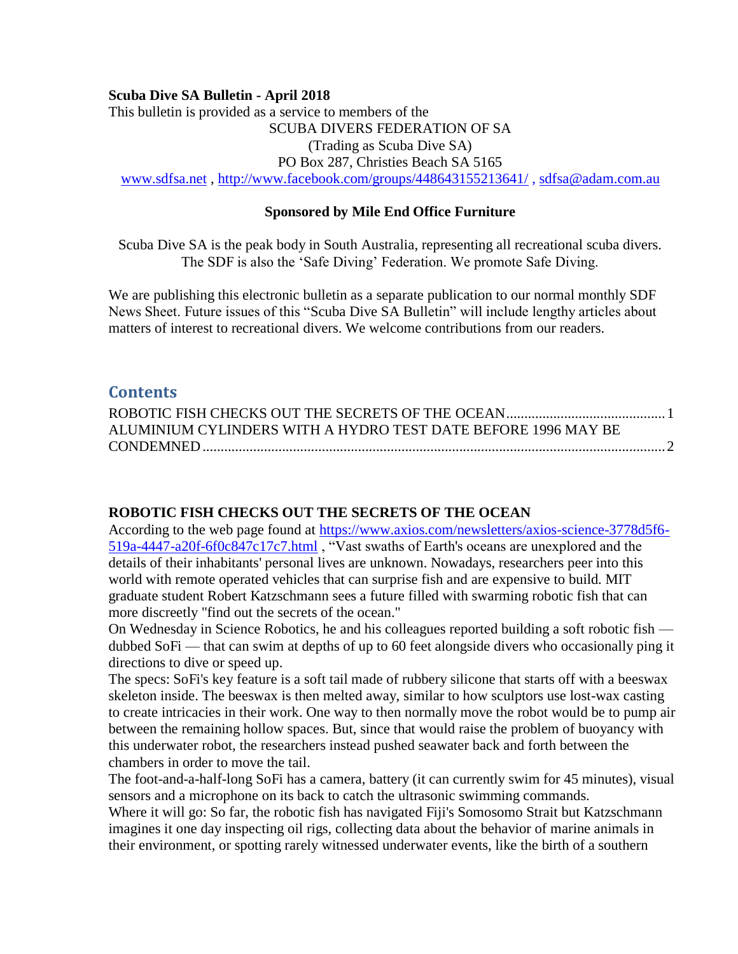#### **Scuba Dive SA Bulletin - April 2018**

This bulletin is provided as a service to members of the SCUBA DIVERS FEDERATION OF SA (Trading as Scuba Dive SA) PO Box 287, Christies Beach SA 5165 [www.sdfsa.net](http://www.sdfsa.net/) ,<http://www.facebook.com/groups/448643155213641/> , [sdfsa@adam.com.au](mailto:sdfsa@adam.com.au)

#### **Sponsored by Mile End Office Furniture**

Scuba Dive SA is the peak body in South Australia, representing all recreational scuba divers. The SDF is also the 'Safe Diving' Federation. We promote Safe Diving.

We are publishing this electronic bulletin as a separate publication to our normal monthly SDF News Sheet. Future issues of this "Scuba Dive SA Bulletin" will include lengthy articles about matters of interest to recreational divers. We welcome contributions from our readers.

## **Contents**

| ALUMINIUM CYLINDERS WITH A HYDRO TEST DATE BEFORE 1996 MAY BE |  |
|---------------------------------------------------------------|--|
|                                                               |  |

### <span id="page-0-0"></span>**ROBOTIC FISH CHECKS OUT THE SECRETS OF THE OCEAN**

According to the web page found at [https://www.axios.com/newsletters/axios-science-3778d5f6-](https://www.axios.com/newsletters/axios-science-3778d5f6-519a-4447-a20f-6f0c847c17c7.html) [519a-4447-a20f-6f0c847c17c7.html](https://www.axios.com/newsletters/axios-science-3778d5f6-519a-4447-a20f-6f0c847c17c7.html) , "Vast swaths of Earth's oceans are unexplored and the details of their inhabitants' personal lives are unknown. Nowadays, researchers peer into this world with remote operated vehicles that can surprise fish and are expensive to build. MIT graduate student Robert Katzschmann sees a future filled with swarming robotic fish that can more discreetly "find out the secrets of the ocean."

On Wednesday in Science Robotics, he and his colleagues reported building a soft robotic fish dubbed SoFi — that can swim at depths of up to 60 feet alongside divers who occasionally ping it directions to dive or speed up.

The specs: SoFi's key feature is a soft tail made of rubbery silicone that starts off with a beeswax skeleton inside. The beeswax is then melted away, similar to how sculptors use lost-wax casting to create intricacies in their work. One way to then normally move the robot would be to pump air between the remaining hollow spaces. But, since that would raise the problem of buoyancy with this underwater robot, the researchers instead pushed seawater back and forth between the chambers in order to move the tail.

The foot-and-a-half-long SoFi has a camera, battery (it can currently swim for 45 minutes), visual sensors and a microphone on its back to catch the ultrasonic swimming commands.

Where it will go: So far, the robotic fish has navigated Fiji's Somosomo Strait but Katzschmann imagines it one day inspecting oil rigs, collecting data about the behavior of marine animals in their environment, or spotting rarely witnessed underwater events, like the birth of a southern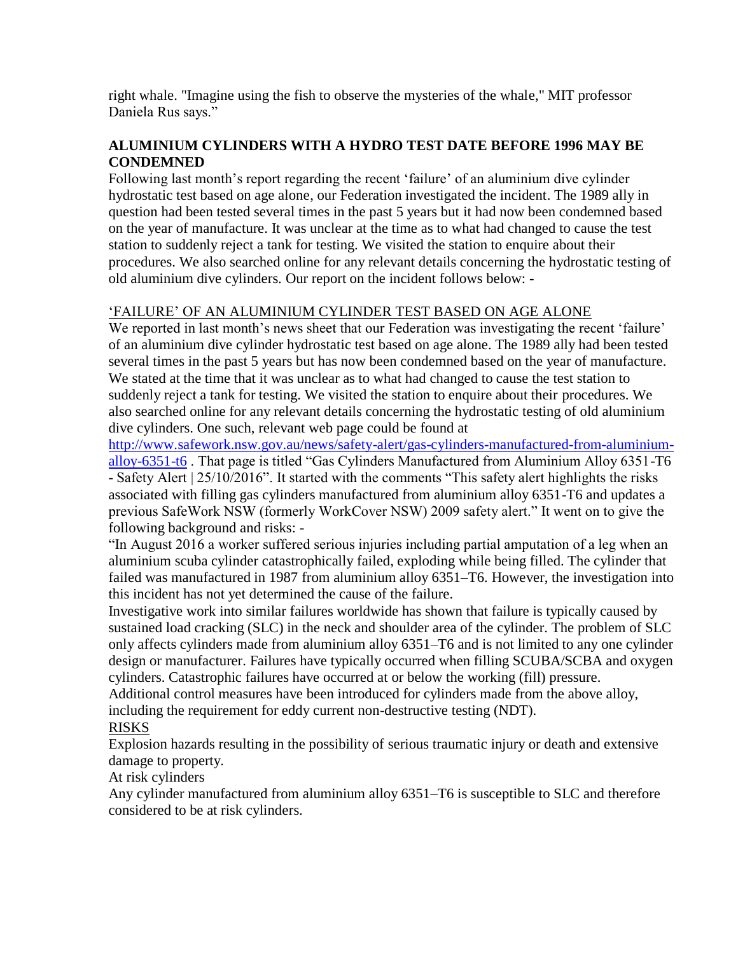right whale. "Imagine using the fish to observe the mysteries of the whale," MIT professor Daniela Rus says."

## <span id="page-1-0"></span>**ALUMINIUM CYLINDERS WITH A HYDRO TEST DATE BEFORE 1996 MAY BE CONDEMNED**

Following last month's report regarding the recent 'failure' of an aluminium dive cylinder hydrostatic test based on age alone, our Federation investigated the incident. The 1989 ally in question had been tested several times in the past 5 years but it had now been condemned based on the year of manufacture. It was unclear at the time as to what had changed to cause the test station to suddenly reject a tank for testing. We visited the station to enquire about their procedures. We also searched online for any relevant details concerning the hydrostatic testing of old aluminium dive cylinders. Our report on the incident follows below: -

# 'FAILURE' OF AN ALUMINIUM CYLINDER TEST BASED ON AGE ALONE

We reported in last month's news sheet that our Federation was investigating the recent 'failure' of an aluminium dive cylinder hydrostatic test based on age alone. The 1989 ally had been tested several times in the past 5 years but has now been condemned based on the year of manufacture. We stated at the time that it was unclear as to what had changed to cause the test station to suddenly reject a tank for testing. We visited the station to enquire about their procedures. We also searched online for any relevant details concerning the hydrostatic testing of old aluminium dive cylinders. One such, relevant web page could be found at

[http://www.safework.nsw.gov.au/news/safety-alert/gas-cylinders-manufactured-from-aluminium](http://www.safework.nsw.gov.au/news/safety-alert/gas-cylinders-manufactured-from-aluminium-alloy-6351-t6)[alloy-6351-t6](http://www.safework.nsw.gov.au/news/safety-alert/gas-cylinders-manufactured-from-aluminium-alloy-6351-t6) . That page is titled "Gas Cylinders Manufactured from Aluminium Alloy 6351-T6 - Safety Alert | 25/10/2016". It started with the comments "This safety alert highlights the risks associated with filling gas cylinders manufactured from aluminium alloy 6351-T6 and updates a previous SafeWork NSW (formerly WorkCover NSW) 2009 safety alert." It went on to give the following background and risks: -

"In August 2016 a worker suffered serious injuries including partial amputation of a leg when an aluminium scuba cylinder catastrophically failed, exploding while being filled. The cylinder that failed was manufactured in 1987 from aluminium alloy 6351–T6. However, the investigation into this incident has not yet determined the cause of the failure.

Investigative work into similar failures worldwide has shown that failure is typically caused by sustained load cracking (SLC) in the neck and shoulder area of the cylinder. The problem of SLC only affects cylinders made from aluminium alloy 6351–T6 and is not limited to any one cylinder design or manufacturer. Failures have typically occurred when filling SCUBA/SCBA and oxygen cylinders. Catastrophic failures have occurred at or below the working (fill) pressure.

Additional control measures have been introduced for cylinders made from the above alloy, including the requirement for eddy current non-destructive testing (NDT).

### RISKS

Explosion hazards resulting in the possibility of serious traumatic injury or death and extensive damage to property.

At risk cylinders

Any cylinder manufactured from aluminium alloy 6351–T6 is susceptible to SLC and therefore considered to be at risk cylinders.